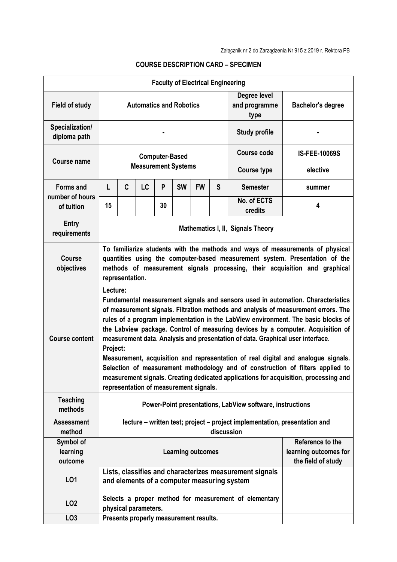| <b>Faculty of Electrical Engineering</b> |                                                                                                                                                                                                                                                                                                                                                                                                                                                                                                                                                                                                                                                                                                                                                                  |                                                                                                                              |           |    |                            |           |                                       |                          |                       |
|------------------------------------------|------------------------------------------------------------------------------------------------------------------------------------------------------------------------------------------------------------------------------------------------------------------------------------------------------------------------------------------------------------------------------------------------------------------------------------------------------------------------------------------------------------------------------------------------------------------------------------------------------------------------------------------------------------------------------------------------------------------------------------------------------------------|------------------------------------------------------------------------------------------------------------------------------|-----------|----|----------------------------|-----------|---------------------------------------|--------------------------|-----------------------|
| <b>Field of study</b>                    | <b>Automatics and Robotics</b>                                                                                                                                                                                                                                                                                                                                                                                                                                                                                                                                                                                                                                                                                                                                   |                                                                                                                              |           |    |                            |           | Degree level<br>and programme<br>type | <b>Bachelor's degree</b> |                       |
| Specialization/<br>diploma path          |                                                                                                                                                                                                                                                                                                                                                                                                                                                                                                                                                                                                                                                                                                                                                                  |                                                                                                                              |           |    |                            |           | <b>Study profile</b>                  |                          |                       |
| <b>Course name</b>                       | <b>Computer-Based</b>                                                                                                                                                                                                                                                                                                                                                                                                                                                                                                                                                                                                                                                                                                                                            |                                                                                                                              |           |    |                            |           |                                       | Course code              | <b>IS-FEE-10069S</b>  |
|                                          |                                                                                                                                                                                                                                                                                                                                                                                                                                                                                                                                                                                                                                                                                                                                                                  |                                                                                                                              |           |    | <b>Measurement Systems</b> |           |                                       | <b>Course type</b>       | elective              |
| <b>Forms and</b>                         | L                                                                                                                                                                                                                                                                                                                                                                                                                                                                                                                                                                                                                                                                                                                                                                | C                                                                                                                            | <b>LC</b> | P  | <b>SW</b>                  | <b>FW</b> | S                                     | <b>Semester</b>          | summer                |
| number of hours<br>of tuition            | 15                                                                                                                                                                                                                                                                                                                                                                                                                                                                                                                                                                                                                                                                                                                                                               |                                                                                                                              |           | 30 |                            |           |                                       | No. of ECTS<br>credits   | 4                     |
| <b>Entry</b><br>requirements             | Mathematics I, II, Signals Theory                                                                                                                                                                                                                                                                                                                                                                                                                                                                                                                                                                                                                                                                                                                                |                                                                                                                              |           |    |                            |           |                                       |                          |                       |
| <b>Course</b><br>objectives              | To familiarize students with the methods and ways of measurements of physical<br>quantities using the computer-based measurement system. Presentation of the<br>methods of measurement signals processing, their acquisition and graphical<br>representation.                                                                                                                                                                                                                                                                                                                                                                                                                                                                                                    |                                                                                                                              |           |    |                            |           |                                       |                          |                       |
| <b>Course content</b>                    | Lecture:<br>Fundamental measurement signals and sensors used in automation. Characteristics<br>of measurement signals. Filtration methods and analysis of measurement errors. The<br>rules of a program implementation in the LabView environment. The basic blocks of<br>the Labview package. Control of measuring devices by a computer. Acquisition of<br>measurement data. Analysis and presentation of data. Graphical user interface.<br>Project:<br>Measurement, acquisition and representation of real digital and analogue signals.<br>Selection of measurement methodology and of construction of filters applied to<br>measurement signals. Creating dedicated applications for acquisition, processing and<br>representation of measurement signals. |                                                                                                                              |           |    |                            |           |                                       |                          |                       |
| <b>Teaching</b><br>methods               | Power-Point presentations, LabView software, instructions                                                                                                                                                                                                                                                                                                                                                                                                                                                                                                                                                                                                                                                                                                        |                                                                                                                              |           |    |                            |           |                                       |                          |                       |
| <b>Assessment</b><br>method              | lecture – written test; project – project implementation, presentation and<br>discussion                                                                                                                                                                                                                                                                                                                                                                                                                                                                                                                                                                                                                                                                         |                                                                                                                              |           |    |                            |           |                                       |                          |                       |
| Symbol of                                | Reference to the                                                                                                                                                                                                                                                                                                                                                                                                                                                                                                                                                                                                                                                                                                                                                 |                                                                                                                              |           |    |                            |           |                                       |                          |                       |
| learning<br>outcome                      |                                                                                                                                                                                                                                                                                                                                                                                                                                                                                                                                                                                                                                                                                                                                                                  |                                                                                                                              |           |    | <b>Learning outcomes</b>   |           |                                       |                          | learning outcomes for |
| L <sub>01</sub>                          |                                                                                                                                                                                                                                                                                                                                                                                                                                                                                                                                                                                                                                                                                                                                                                  | the field of study<br>Lists, classifies and characterizes measurement signals<br>and elements of a computer measuring system |           |    |                            |           |                                       |                          |                       |
| LO <sub>2</sub>                          | Selects a proper method for measurement of elementary<br>physical parameters.                                                                                                                                                                                                                                                                                                                                                                                                                                                                                                                                                                                                                                                                                    |                                                                                                                              |           |    |                            |           |                                       |                          |                       |
| LO <sub>3</sub>                          |                                                                                                                                                                                                                                                                                                                                                                                                                                                                                                                                                                                                                                                                                                                                                                  | Presents properly measurement results.                                                                                       |           |    |                            |           |                                       |                          |                       |

## **COURSE DESCRIPTION CARD – SPECIMEN**